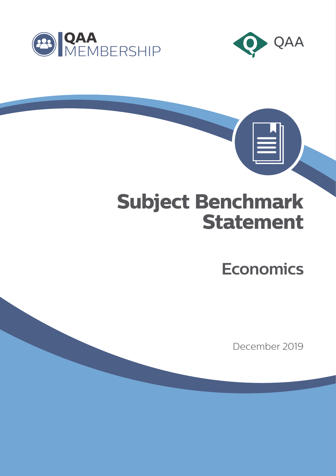



 $|\equiv|$ 

# **Subject Benchmark Statement**

**Economics**

December 2019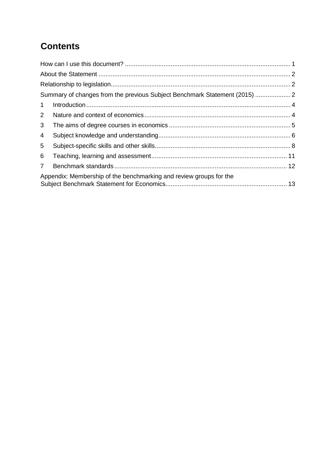# **Contents**

| Summary of changes from the previous Subject Benchmark Statement (2015)  2 |                                                                    |  |
|----------------------------------------------------------------------------|--------------------------------------------------------------------|--|
| $\mathbf{1}$                                                               |                                                                    |  |
| $\overline{2}$                                                             |                                                                    |  |
| 3                                                                          |                                                                    |  |
| 4                                                                          |                                                                    |  |
| 5                                                                          |                                                                    |  |
| 6                                                                          |                                                                    |  |
| $\overline{7}$                                                             |                                                                    |  |
|                                                                            | Appendix: Membership of the benchmarking and review groups for the |  |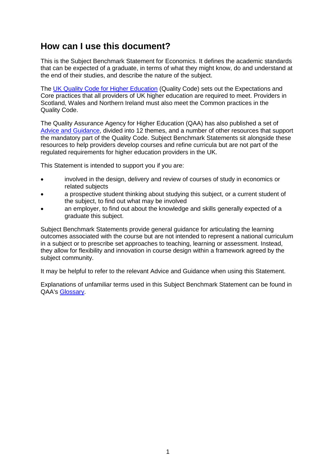#### <span id="page-2-0"></span>**How can I use this document?**

This is the Subject Benchmark Statement for Economics. It defines the academic standards that can be expected of a graduate, in terms of what they might know, do and understand at the end of their studies, and describe the nature of the subject.

The [UK Quality Code for Higher Education](https://www.qaa.ac.uk/quality-code) (Quality Code) sets out the Expectations and Core practices that all providers of UK higher education are required to meet. Providers in Scotland, Wales and Northern Ireland must also meet the Common practices in the Quality Code.

The Quality Assurance Agency for Higher Education (QAA) has also published a set of [Advice and Guidance,](https://www.qaa.ac.uk/quality-code/advice-and-guidance) divided into 12 themes, and a number of other resources that support the mandatory part of the Quality Code. Subject Benchmark Statements sit alongside these resources to help providers develop courses and refine curricula but are not part of the regulated requirements for higher education providers in the UK.

This Statement is intended to support you if you are:

- involved in the design, delivery and review of courses of study in economics or related subjects
- a prospective student thinking about studying this subject, or a current student of the subject, to find out what may be involved
- an employer, to find out about the knowledge and skills generally expected of a graduate this subject.

Subject Benchmark Statements provide general guidance for articulating the learning outcomes associated with the course but are not intended to represent a national curriculum in a subject or to prescribe set approaches to teaching, learning or assessment. Instead, they allow for flexibility and innovation in course design within a framework agreed by the subject community.

It may be helpful to refer to the relevant Advice and Guidance when using this Statement.

Explanations of unfamiliar terms used in this Subject Benchmark Statement can be found in QAA's [Glossary.](https://www.qaa.ac.uk/glossary)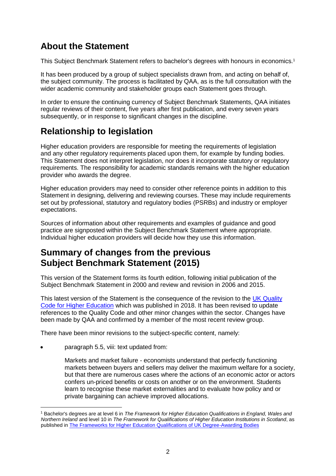# <span id="page-3-0"></span>**About the Statement**

This Subject Benchmark Statement refers to bachelor's degrees with honours in economics.<sup>1</sup>

It has been produced by a group of subject specialists drawn from, and acting on behalf of, the subject community. The process is facilitated by QAA, as is the full consultation with the wider academic community and stakeholder groups each Statement goes through.

In order to ensure the continuing currency of Subject Benchmark Statements, QAA initiates regular reviews of their content, five years after first publication, and every seven years subsequently, or in response to significant changes in the discipline.

# <span id="page-3-1"></span>**Relationship to legislation**

Higher education providers are responsible for meeting the requirements of legislation and any other regulatory requirements placed upon them, for example by funding bodies. This Statement does not interpret legislation, nor does it incorporate statutory or regulatory requirements. The responsibility for academic standards remains with the higher education provider who awards the degree.

Higher education providers may need to consider other reference points in addition to this Statement in designing, delivering and reviewing courses. These may include requirements set out by professional, statutory and regulatory bodies (PSRBs) and industry or employer expectations.

Sources of information about other requirements and examples of guidance and good practice are signposted within the Subject Benchmark Statement where appropriate. Individual higher education providers will decide how they use this information.

## <span id="page-3-2"></span>**Summary of changes from the previous Subject Benchmark Statement (2015)**

This version of the Statement forms its fourth edition, following initial publication of the Subject Benchmark Statement in 2000 and review and revision in 2006 and 2015.

This latest version of the Statement is the consequence of the revision to the [UK Quality](http://www.qaa.ac.uk/quality-code)  [Code for Higher Education](http://www.qaa.ac.uk/quality-code) which was published in 2018. It has been revised to update references to the Quality Code and other minor changes within the sector. Changes have been made by QAA and confirmed by a member of the most recent review group.

There have been minor revisions to the subject-specific content, namely:

• paragraph 5.5, viii: text updated from:

-

Markets and market failure - economists understand that perfectly functioning markets between buyers and sellers may deliver the maximum welfare for a society, but that there are numerous cases where the actions of an economic actor or actors confers un-priced benefits or costs on another or on the environment. Students learn to recognise these market externalities and to evaluate how policy and or private bargaining can achieve improved allocations.

<sup>1</sup> Bachelor's degrees are at level 6 in *The Framework for Higher Education Qualifications in England, Wales and Northern Ireland* and level 10 in *The Framework for Qualifications of Higher Education Institutions in Scotland*, as published in **The Frameworks for Higher Education Qualifications of UK Degree-Awarding Bodies**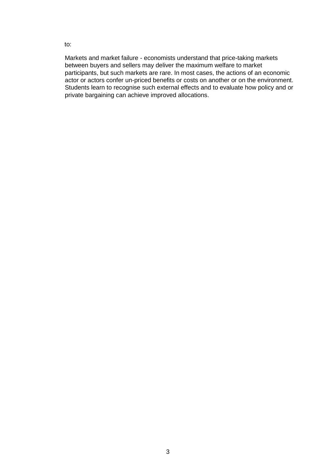to:

Markets and market failure - economists understand that price-taking markets between buyers and sellers may deliver the maximum welfare to market participants, but such markets are rare. In most cases, the actions of an economic actor or actors confer un-priced benefits or costs on another or on the environment. Students learn to recognise such external effects and to evaluate how policy and or private bargaining can achieve improved allocations.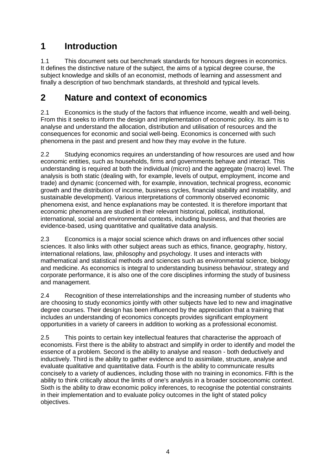#### <span id="page-5-0"></span>**1 Introduction**

1.1 This document sets out benchmark standards for honours degrees in economics. It defines the distinctive nature of the subject, the aims of a typical degree course, the subject knowledge and skills of an economist, methods of learning and assessment and finally a description of two benchmark standards, at threshold and typical levels.

#### <span id="page-5-1"></span>**2 Nature and context of economics**

2.1 Economics is the study of the factors that influence income, wealth and well-being. From this it seeks to inform the design and implementation of economic policy. Its aim is to analyse and understand the allocation, distribution and utilisation of resources and the consequences for economic and social well-being. Economics is concerned with such phenomena in the past and present and how they may evolve in the future.

2.2 Studying economics requires an understanding of how resources are used and how economic entities, such as households, firms and governments behave and interact. This understanding is required at both the individual (micro) and the aggregate (macro) level. The analysis is both static (dealing with, for example, levels of output, employment, income and trade) and dynamic (concerned with, for example, innovation, technical progress, economic growth and the distribution of income, business cycles, financial stability and instability, and sustainable development). Various interpretations of commonly observed economic phenomena exist, and hence explanations may be contested. It is therefore important that economic phenomena are studied in their relevant historical, political, institutional, international, social and environmental contexts, including business, and that theories are evidence-based, using quantitative and qualitative data analysis.

2.3 Economics is a major social science which draws on and influences other social sciences. It also links with other subject areas such as ethics, finance, geography, history, international relations, law, philosophy and psychology. It uses and interacts with mathematical and statistical methods and sciences such as environmental science, biology and medicine. As economics is integral to understanding business behaviour, strategy and corporate performance, it is also one of the core disciplines informing the study of business and management.

2.4 Recognition of these interrelationships and the increasing number of students who are choosing to study economics jointly with other subjects have led to new and imaginative degree courses. Their design has been influenced by the appreciation that a training that includes an understanding of economics concepts provides significant employment opportunities in a variety of careers in addition to working as a professional economist.

2.5 This points to certain key intellectual features that characterise the approach of economists. First there is the ability to abstract and simplify in order to identify and model the essence of a problem. Second is the ability to analyse and reason - both deductively and inductively. Third is the ability to gather evidence and to assimilate, structure, analyse and evaluate qualitative and quantitative data. Fourth is the ability to communicate results concisely to a variety of audiences, including those with no training in economics. Fifth is the ability to think critically about the limits of one's analysis in a broader socioeconomic context. Sixth is the ability to draw economic policy inferences, to recognise the potential constraints in their implementation and to evaluate policy outcomes in the light of stated policy objectives.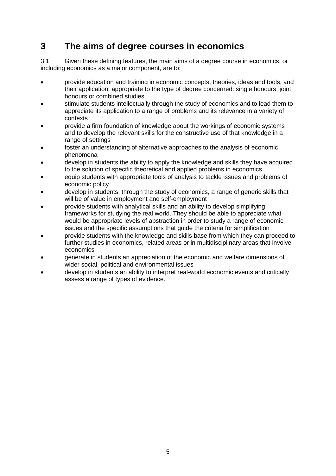#### <span id="page-6-0"></span>**3 The aims of degree courses in economics**

3.1 Given these defining features, the main aims of a degree course in economics, or including economics as a major component, are to:

- provide education and training in economic concepts, theories, ideas and tools, and their application, appropriate to the type of degree concerned: single honours, joint honours or combined studies
- stimulate students intellectually through the study of economics and to lead them to appreciate its application to a range of problems and its relevance in a variety of contexts
- provide a firm foundation of knowledge about the workings of economic systems and to develop the relevant skills for the constructive use of that knowledge in a range of settings
- foster an understanding of alternative approaches to the analysis of economic phenomena
- develop in students the ability to apply the knowledge and skills they have acquired to the solution of specific theoretical and applied problems in economics
- equip students with appropriate tools of analysis to tackle issues and problems of economic policy
- develop in students, through the study of economics, a range of generic skills that will be of value in employment and self-employment
- provide students with analytical skills and an ability to develop simplifying frameworks for studying the real world. They should be able to appreciate what would be appropriate levels of abstraction in order to study a range of economic issues and the specific assumptions that guide the criteria for simplification
- provide students with the knowledge and skills base from which they can proceed to further studies in economics, related areas or in multidisciplinary areas that involve economics
- generate in students an appreciation of the economic and welfare dimensions of wider social, political and environmental issues
- develop in students an ability to interpret real-world economic events and critically assess a range of types of evidence.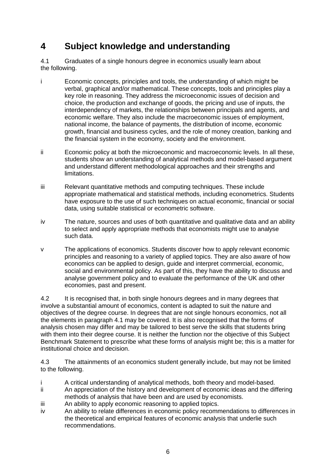### <span id="page-7-0"></span>**4 Subject knowledge and understanding**

4.1 Graduates of a single honours degree in economics usually learn about the following.

- i Economic concepts, principles and tools, the understanding of which might be verbal, graphical and/or mathematical. These concepts, tools and principles play a key role in reasoning. They address the microeconomic issues of decision and choice, the production and exchange of goods, the pricing and use of inputs, the interdependency of markets, the relationships between principals and agents, and economic welfare. They also include the macroeconomic issues of employment, national income, the balance of payments, the distribution of income, economic growth, financial and business cycles, and the role of money creation, banking and the financial system in the economy, society and the environment.
- ii Economic policy at both the microeconomic and macroeconomic levels. In all these, students show an understanding of analytical methods and model-based argument and understand different methodological approaches and their strengths and limitations.
- iii Relevant quantitative methods and computing techniques. These include appropriate mathematical and statistical methods, including econometrics. Students have exposure to the use of such techniques on actual economic, financial or social data, using suitable statistical or econometric software.
- iv The nature, sources and uses of both quantitative and qualitative data and an ability to select and apply appropriate methods that economists might use to analyse such data.
- v The applications of economics. Students discover how to apply relevant economic principles and reasoning to a variety of applied topics. They are also aware of how economics can be applied to design, guide and interpret commercial, economic, social and environmental policy. As part of this, they have the ability to discuss and analyse government policy and to evaluate the performance of the UK and other economies, past and present.

4.2 It is recognised that, in both single honours degrees and in many degrees that involve a substantial amount of economics, content is adapted to suit the nature and objectives of the degree course. In degrees that are not single honours economics, not all the elements in paragraph 4.1 may be covered. It is also recognised that the forms of analysis chosen may differ and may be tailored to best serve the skills that students bring with them into their degree course. It is neither the function nor the objective of this Subject Benchmark Statement to prescribe what these forms of analysis might be; this is a matter for institutional choice and decision.

4.3 The attainments of an economics student generally include, but may not be limited to the following.

- i A critical understanding of analytical methods, both theory and model-based.
- ii An appreciation of the history and development of economic ideas and the differing methods of analysis that have been and are used by economists.
- iii An ability to apply economic reasoning to applied topics.
- iv An ability to relate differences in economic policy recommendations to differences in the theoretical and empirical features of economic analysis that underlie such recommendations.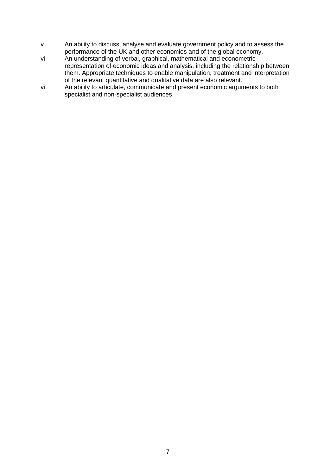- v An ability to discuss, analyse and evaluate government policy and to assess the performance of the UK and other economies and of the global economy.
- vi An understanding of verbal, graphical, mathematical and econometric representation of economic ideas and analysis, including the relationship between them. Appropriate techniques to enable manipulation, treatment and interpretation of the relevant quantitative and qualitative data are also relevant.
- vi An ability to articulate, communicate and present economic arguments to both specialist and non-specialist audiences.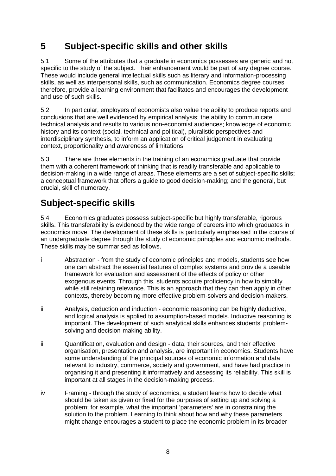# <span id="page-9-0"></span>**5 Subject-specific skills and other skills**

5.1 Some of the attributes that a graduate in economics possesses are generic and not specific to the study of the subject. Their enhancement would be part of any degree course. These would include general intellectual skills such as literary and information-processing skills, as well as interpersonal skills, such as communication. Economics degree courses, therefore, provide a learning environment that facilitates and encourages the development and use of such skills.

5.2 In particular, employers of economists also value the ability to produce reports and conclusions that are well evidenced by empirical analysis; the ability to communicate technical analysis and results to various non-economist audiences; knowledge of economic history and its context (social, technical and political), pluralistic perspectives and interdisciplinary synthesis, to inform an application of critical judgement in evaluating context, proportionality and awareness of limitations.

5.3 There are three elements in the training of an economics graduate that provide them with a coherent framework of thinking that is readily transferable and applicable to decision-making in a wide range of areas. These elements are a set of subject-specific skills; a conceptual framework that offers a guide to good decision-making; and the general, but crucial, skill of numeracy.

# **Subject-specific skills**

5.4 Economics graduates possess subject-specific but highly transferable, rigorous skills. This transferability is evidenced by the wide range of careers into which graduates in economics move. The development of these skills is particularly emphasised in the course of an undergraduate degree through the study of economic principles and economic methods. These skills may be summarised as follows.

- i Abstraction from the study of economic principles and models, students see how one can abstract the essential features of complex systems and provide a useable framework for evaluation and assessment of the effects of policy or other exogenous events. Through this, students acquire proficiency in how to simplify while still retaining relevance. This is an approach that they can then apply in other contexts, thereby becoming more effective problem-solvers and decision-makers.
- ii Analysis, deduction and induction economic reasoning can be highly deductive, and logical analysis is applied to assumption-based models. Inductive reasoning is important. The development of such analytical skills enhances students' problemsolving and decision-making ability.
- iii Quantification, evaluation and design data, their sources, and their effective organisation, presentation and analysis, are important in economics. Students have some understanding of the principal sources of economic information and data relevant to industry, commerce, society and government, and have had practice in organising it and presenting it informatively and assessing its reliability. This skill is important at all stages in the decision-making process.
- iv Framing through the study of economics, a student learns how to decide what should be taken as given or fixed for the purposes of setting up and solving a problem; for example, what the important 'parameters' are in constraining the solution to the problem. Learning to think about how and why these parameters might change encourages a student to place the economic problem in its broader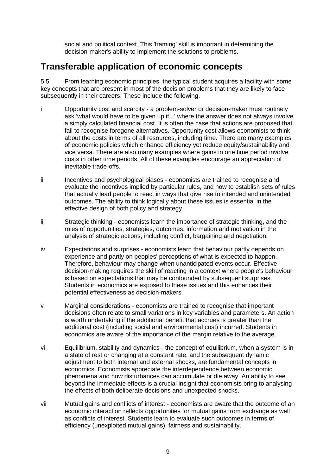social and political context. This 'framing' skill is important in determining the decision-maker's ability to implement the solutions to problems.

#### **Transferable application of economic concepts**

5.5 From learning economic principles, the typical student acquires a facility with some key concepts that are present in most of the decision problems that they are likely to face subsequently in their careers. These include the following.

- i Opportunity cost and scarcity a problem-solver or decision-maker must routinely ask 'what would have to be given up if...' where the answer does not always involve a simply calculated financial cost. It is often the case that actions are proposed that fail to recognise foregone alternatives. Opportunity cost allows economists to think about the costs in terms of all resources, including time. There are many examples of economic policies which enhance efficiency yet reduce equity/sustainability and vice versa. There are also many examples where gains in one time period involve costs in other time periods. All of these examples encourage an appreciation of inevitable trade-offs.
- ii Incentives and psychological biases economists are trained to recognise and evaluate the incentives implied by particular rules, and how to establish sets of rules that actually lead people to react in ways that give rise to intended and unintended outcomes. The ability to think logically about these issues is essential in the effective design of both policy and strategy.
- iii Strategic thinking economists learn the importance of strategic thinking, and the roles of opportunities, strategies, outcomes, information and motivation in the analysis of strategic actions, including conflict, bargaining and negotiation.
- iv Expectations and surprises economists learn that behaviour partly depends on experience and partly on peoples' perceptions of what is expected to happen. Therefore, behaviour may change when unanticipated events occur. Effective decision-making requires the skill of reacting in a context where people's behaviour is based on expectations that may be confounded by subsequent surprises. Students in economics are exposed to these issues and this enhances their potential effectiveness as decision-makers.
- v Marginal considerations economists are trained to recognise that important decisions often relate to small variations in key variables and parameters. An action is worth undertaking if the additional benefit that accrues is greater than the additional cost (including social and environmental cost) incurred. Students in economics are aware of the importance of the margin relative to the average.
- vi Equilibrium, stability and dynamics the concept of equilibrium, when a system is in a state of rest or changing at a constant rate, and the subsequent dynamic adjustment to both internal and external shocks, are fundamental concepts in economics. Economists appreciate the interdependence between economic phenomena and how disturbances can accumulate or die away. An ability to see beyond the immediate effects is a crucial insight that economists bring to analysing the effects of both deliberate decisions and unexpected shocks.
- vii Mutual gains and conflicts of interest economists are aware that the outcome of an economic interaction reflects opportunities for mutual gains from exchange as well as conflicts of interest. Students learn to evaluate such outcomes in terms of efficiency (unexploited mutual gains), fairness and sustainability.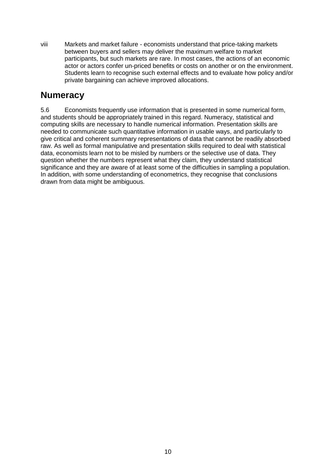viii Markets and market failure - economists understand that price-taking markets between buyers and sellers may deliver the maximum welfare to market participants, but such markets are rare. In most cases, the actions of an economic actor or actors confer un-priced benefits or costs on another or on the environment. Students learn to recognise such external effects and to evaluate how policy and/or private bargaining can achieve improved allocations.

#### **Numeracy**

5.6 Economists frequently use information that is presented in some numerical form, and students should be appropriately trained in this regard. Numeracy, statistical and computing skills are necessary to handle numerical information. Presentation skills are needed to communicate such quantitative information in usable ways, and particularly to give critical and coherent summary representations of data that cannot be readily absorbed raw. As well as formal manipulative and presentation skills required to deal with statistical data, economists learn not to be misled by numbers or the selective use of data. They question whether the numbers represent what they claim, they understand statistical significance and they are aware of at least some of the difficulties in sampling a population. In addition, with some understanding of econometrics, they recognise that conclusions drawn from data might be ambiguous.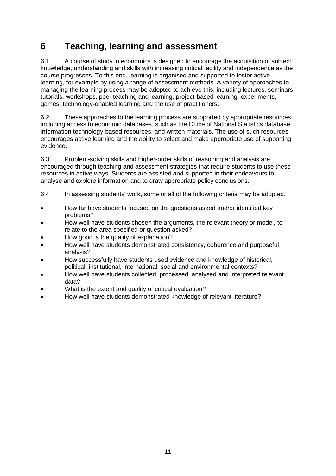# <span id="page-12-0"></span>**6 Teaching, learning and assessment**

6.1 A course of study in economics is designed to encourage the acquisition of subject knowledge, understanding and skills with increasing critical facility and independence as the course progresses. To this end, learning is organised and supported to foster active learning, for example by using a range of assessment methods. A variety of approaches to managing the learning process may be adopted to achieve this, including lectures, seminars, tutorials, workshops, peer teaching and learning, project-based learning, experiments, games, technology-enabled learning and the use of practitioners.

6.2 These approaches to the learning process are supported by appropriate resources, including access to economic databases, such as the Office of National Statistics database, information technology-based resources, and written materials. The use of such resources encourages active learning and the ability to select and make appropriate use of supporting evidence.

6.3 Problem-solving skills and higher-order skills of reasoning and analysis are encouraged through teaching and assessment strategies that require students to use these resources in active ways. Students are assisted and supported in their endeavours to analyse and explore information and to draw appropriate policy conclusions.

- 6.4 In assessing students' work, some or all of the following criteria may be adopted.
- How far have students focused on the questions asked and/or identified key problems?
- How well have students chosen the arguments, the relevant theory or model, to relate to the area specified or question asked?
- How good is the quality of explanation?
- How well have students demonstrated consistency, coherence and purposeful analysis?
- How successfully have students used evidence and knowledge of historical, political, institutional, international, social and environmental contexts?
- How well have students collected, processed, analysed and interpreted relevant data?
- What is the extent and quality of critical evaluation?
- How well have students demonstrated knowledge of relevant literature?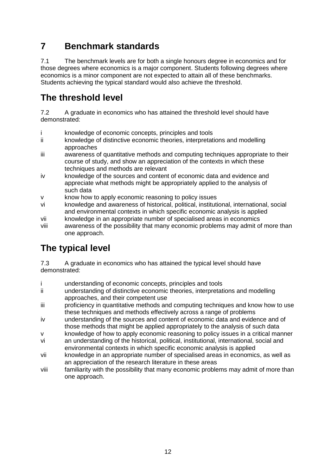# <span id="page-13-1"></span><span id="page-13-0"></span>**7 Benchmark standards**

7.1 The benchmark levels are for both a single honours degree in economics and for those degrees where economics is a major component. Students following degrees where economics is a minor component are not expected to attain all of these benchmarks. Students achieving the typical standard would also achieve the threshold.

#### **The threshold level**

7.2 A graduate in economics who has attained the threshold level should have demonstrated:

- i knowledge of economic concepts, principles and tools
- ii knowledge of distinctive economic theories, interpretations and modelling approaches
- iii awareness of quantitative methods and computing techniques appropriate to their course of study, and show an appreciation of the contexts in which these techniques and methods are relevant
- iv knowledge of the sources and content of economic data and evidence and appreciate what methods might be appropriately applied to the analysis of such data
- v know how to apply economic reasoning to policy issues
- vi knowledge and awareness of historical, political, institutional, international, social and environmental contexts in which specific economic analysis is applied
- vii knowledge in an appropriate number of specialised areas in economics
- viii awareness of the possibility that many economic problems may admit of more than one approach.

# **The typical level**

7.3 A graduate in economics who has attained the typical level should have demonstrated:

- i understanding of economic concepts, principles and tools
- ii understanding of distinctive economic theories, interpretations and modelling approaches, and their competent use
- iii proficiency in quantitative methods and computing techniques and know how to use these techniques and methods effectively across a range of problems
- iv understanding of the sources and content of economic data and evidence and of those methods that might be applied appropriately to the analysis of such data
- v knowledge of how to apply economic reasoning to policy issues in a critical manner vi an understanding of the historical, political, institutional, international, social and
- environmental contexts in which specific economic analysis is applied vii knowledge in an appropriate number of specialised areas in economics, as well as an appreciation of the research literature in these areas
- viii familiarity with the possibility that many economic problems may admit of more than one approach.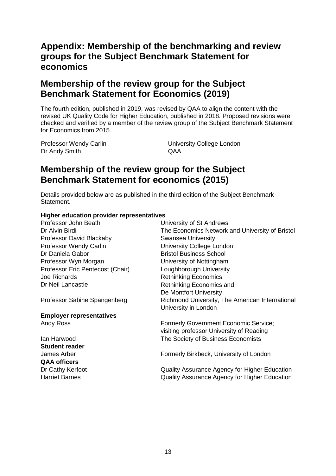#### **Appendix: Membership of the benchmarking and review groups for the Subject Benchmark Statement for economics**

#### **Membership of the review group for the Subject Benchmark Statement for Economics (2019)**

The fourth edition, published in 2019, was revised by QAA to align the content with the revised UK Quality Code for Higher Education, published in 2018. Proposed revisions were checked and verified by a member of the review group of the Subject Benchmark Statement for Economics from 2015.

Dr Andy Smith QAA

Professor Wendy Carlin **National College London** University College London

#### **Membership of the review group for the Subject Benchmark Statement for economics (2015)**

Details provided below are as published in the third edition of the Subject Benchmark Statement.

#### **Higher education provider representatives**

Professor John Beath University of St Andrews Dr Alvin Birdi The Economics Network and University of Bristol Professor David Blackaby Swansea University Professor Wendy Carlin University College London Dr Daniela Gabor **Bristol Business School** Professor Wyn Morgan University of Nottingham Professor Eric Pentecost (Chair) Loughborough University Joe Richards **Rethinking Economics** Dr Neil Lancastle **Rethinking Economics** and De Montfort University Professor Sabine Spangenberg Richmond University, The American International University in London **Employer representatives** Andy Ross Formerly Government Economic Service; visiting professor University of Reading Ian Harwood The Society of Business Economists **Student reader** James Arber **Formerly Birkbeck, University of London QAA officers** Dr Cathy Kerfoot **Quality Assurance Agency for Higher Education** Harriet Barnes Quality Assurance Agency for Higher Education